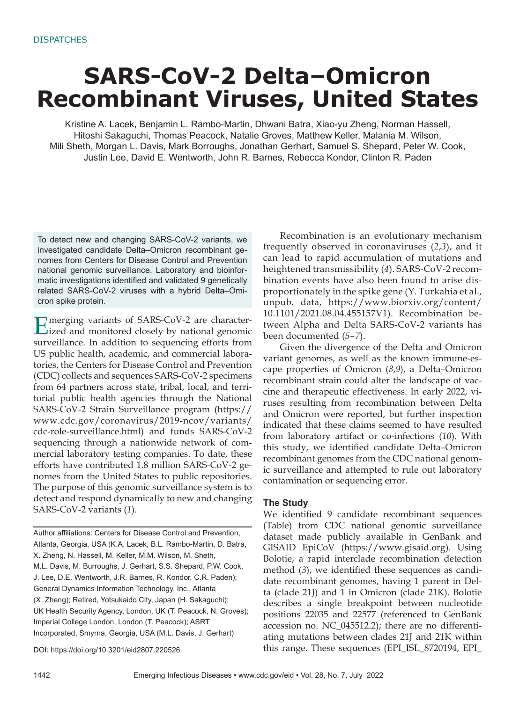## **SARS-CoV-2 Delta–Omicron Recombinant Viruses, United States**

Kristine A. Lacek, Benjamin L. Rambo-Martin, Dhwani Batra, Xiao-yu Zheng, Norman Hassell, Hitoshi Sakaguchi, Thomas Peacock, Natalie Groves, Matthew Keller, Malania M. Wilson, Mili Sheth, Morgan L. Davis, Mark Borroughs, Jonathan Gerhart, Samuel S. Shepard, Peter W. Cook, Justin Lee, David E. Wentworth, John R. Barnes, Rebecca Kondor, Clinton R. Paden

To detect new and changing SARS-CoV-2 variants, we investigated candidate Delta–Omicron recombinant genomes from Centers for Disease Control and Prevention national genomic surveillance. Laboratory and bioinformatic investigations identified and validated 9 genetically related SARS-CoV-2 viruses with a hybrid Delta–Omicron spike protein.

Emerging variants of SARS-CoV-2 are character-ized and monitored closely by national genomic surveillance. In addition to sequencing efforts from US public health, academic, and commercial laboratories, the Centers for Disease Control and Prevention (CDC) collects and sequences SARS-CoV-2 specimens from 64 partners across state, tribal, local, and territorial public health agencies through the National SARS-CoV-2 Strain Surveillance program (https:// www.cdc.gov/coronavirus/2019-ncov/variants/ cdc-role-surveillance.html) and funds SARS-CoV-2 sequencing through a nationwide network of commercial laboratory testing companies. To date, these efforts have contributed 1.8 million SARS-CoV-2 genomes from the United States to public repositories. The purpose of this genomic surveillance system is to detect and respond dynamically to new and changing SARS-CoV-2 variants (*1*).

Author affiliations: Centers for Disease Control and Prevention, Atlanta, Georgia, USA (K.A. Lacek, B.L. Rambo-Martin, D. Batra, X. Zheng, N. Hassell, M. Keller, M.M. Wilson, M. Sheth, M.L. Davis, M. Burroughs, J. Gerhart, S.S. Shepard, P.W. Cook, J. Lee, D.E. Wentworth, J.R. Barnes, R. Kondor, C.R. Paden); General Dynamics Information Technology, Inc., Atlanta (X. Zheng); Retired, Yotsukaido City, Japan (H. Sakaguchi); UK Health Security Agency, London, UK (T. Peacock, N. Groves); Imperial College London, London (T. Peacock); ASRT Incorporated, Smyrna, Georgia, USA (M.L. Davis, J. Gerhart)

DOI: https://doi.org/10.3201/eid2807.220526

Recombination is an evolutionary mechanism frequently observed in coronaviruses (*2*,*3*), and it can lead to rapid accumulation of mutations and heightened transmissibility (*4*). SARS-CoV-2 recombination events have also been found to arise disproportionately in the spike gene (Y. Turkahia et al., unpub. data, https://www.biorxiv.org/content/ 10.1101/2021.08.04.455157V1). Recombination between Alpha and Delta SARS-CoV-2 variants has been documented (*5*–*7*).

Given the divergence of the Delta and Omicron variant genomes, as well as the known immune-escape properties of Omicron (*8*,*9*), a Delta–Omicron recombinant strain could alter the landscape of vaccine and therapeutic effectiveness. In early 2022, viruses resulting from recombination between Delta and Omicron were reported, but further inspection indicated that these claims seemed to have resulted from laboratory artifact or co-infections (*10*). With this study, we identified candidate Delta–Omicron recombinant genomes from the CDC national genomic surveillance and attempted to rule out laboratory contamination or sequencing error.

#### **The Study**

We identified 9 candidate recombinant sequences (Table) from CDC national genomic surveillance dataset made publicly available in GenBank and GISAID EpiCoV (https://www.gisaid.org). Using Bolotie, a rapid interclade recombination detection method (*3*), we identified these sequences as candidate recombinant genomes, having 1 parent in Delta (clade 21J) and 1 in Omicron (clade 21K). Bolotie describes a single breakpoint between nucleotide positions 22035 and 22577 (referenced to GenBank accession no. NC\_045512.2); there are no differentiating mutations between clades 21J and 21K within this range. These sequences (EPI\_ISL\_8720194, EPI\_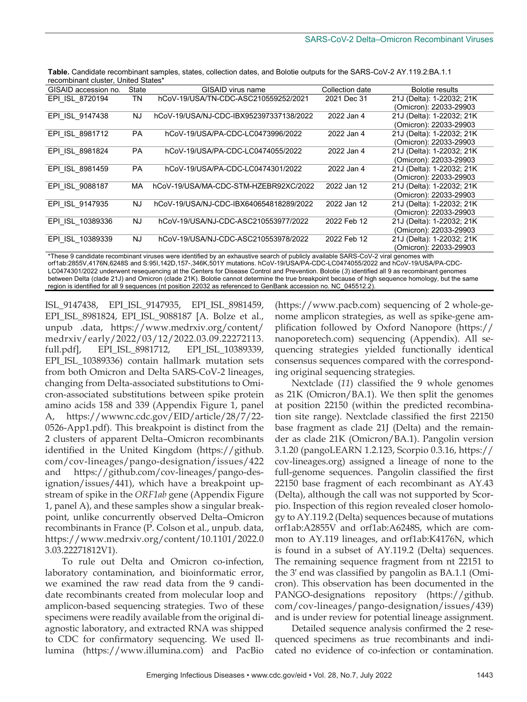| ooonnomant oraotor, Ormoa otatoo<br>GISAID accession no. |                                         |                          |                           |
|----------------------------------------------------------|-----------------------------------------|--------------------------|---------------------------|
|                                                          |                                         |                          | <b>Bolotie results</b>    |
| TN                                                       | hCoV-19/USA/TN-CDC-ASC210559252/2021    | 2021 Dec 31              | 21J (Delta): 1-22032; 21K |
|                                                          |                                         |                          | (Omicron): 22033-29903    |
| NJ.                                                      | hCoV-19/USA/NJ-CDC-IBX952397337138/2022 | 2022 Jan 4               | 21J (Delta): 1-22032; 21K |
|                                                          |                                         |                          | (Omicron): 22033-29903    |
| <b>PA</b>                                                | hCoV-19/USA/PA-CDC-LC0473996/2022       | 2022 Jan 4               | 21J (Delta): 1-22032; 21K |
|                                                          |                                         |                          | (Omicron): 22033-29903    |
| <b>PA</b>                                                | hCoV-19/USA/PA-CDC-LC0474055/2022       | 2022 Jan 4               | 21J (Delta): 1-22032; 21K |
|                                                          |                                         |                          | (Omicron): 22033-29903    |
| <b>PA</b>                                                | hCoV-19/USA/PA-CDC-LC0474301/2022       | 2022 Jan 4               | 21J (Delta): 1-22032; 21K |
|                                                          |                                         |                          | (Omicron): 22033-29903    |
| МA                                                       | hCoV-19/USA/MA-CDC-STM-HZEBR92XC/2022   | 2022 Jan 12              | 21J (Delta): 1-22032; 21K |
|                                                          |                                         |                          | (Omicron): 22033-29903    |
| NJ.                                                      | hCoV-19/USA/NJ-CDC-IBX640654818289/2022 | 2022 Jan 12              | 21J (Delta): 1-22032; 21K |
|                                                          |                                         |                          | (Omicron): 22033-29903    |
| NJ.                                                      | hCoV-19/USA/NJ-CDC-ASC210553977/2022    | 2022 Feb 12              | 21J (Delta): 1-22032; 21K |
|                                                          |                                         |                          | (Omicron): 22033-29903    |
| NJ.                                                      | hCoV-19/USA/NJ-CDC-ASC210553978/2022    | 2022 Feb 12              | 21J (Delta): 1-22032; 21K |
|                                                          |                                         |                          | (Omicron): 22033-29903    |
|                                                          | State                                   | <b>GISAID virus name</b> | Collection date           |

**Table.** Candidate recombinant samples, states, collection dates, and Bolotie outputs for the SARS-CoV-2 AY.119.2:BA.1.1 recombinant cluster, United States\*

\*These 9 candidate recombinant viruses were identified by an exhaustive search of publicly available SARS-CoV-2 viral genomes with orf1ab:2855V,4176N,6248S and S:95I,142D,157-,346K,501Y mutations. hCoV-19/USA/PA-CDC-LC0474055/2022 and hCoV-19/USA/PA-CDC-LC0474301/2022 underwent resequencing at the Centers for Disease Control and Prevention. Bolotie (*3*) identified all 9 as recombinant genomes between Delta (clade 21J) and Omicron (clade 21K). Bolotie cannot determine the true breakpoint because of high sequence homology, but the same region is identified for all 9 sequences (nt position 22032 as referenced to GenBank accession no. NC\_045512.2).

ISL\_9147438, EPI\_ISL\_9147935, EPI\_ISL\_8981459, EPI\_ISL\_8981824, EPI\_ISL\_9088187 [A. Bolze et al., unpub .data, https://www.medrxiv.org/content/ medrxiv/early/2022/03/12/2022.03.09.22272113. full.pdf], EPI\_ISL\_8981712, EPI\_ISL\_10389339, EPI\_ISL\_10389336) contain hallmark mutation sets from both Omicron and Delta SARS-CoV-2 lineages, changing from Delta-associated substitutions to Omicron-associated substitutions between spike protein amino acids 158 and 339 (Appendix Figure 1, panel A, https://wwwnc.cdc.gov/EID/article/28/7/22- 0526-App1.pdf). This breakpoint is distinct from the 2 clusters of apparent Delta–Omicron recombinants identified in the United Kingdom (https://github. com/cov-lineages/pango-designation/issues/422 and https://github.com/cov-lineages/pango-designation/issues/441), which have a breakpoint upstream of spike in the *ORF1ab* gene (Appendix Figure 1, panel A), and these samples show a singular breakpoint, unlike concurrently observed Delta–Omicron recombinants in France (P. Colson et al., unpub. data, https://www.medrxiv.org/content/10.1101/2022.0 3.03.22271812V1).

To rule out Delta and Omicron co-infection, laboratory contamination, and bioinformatic error, we examined the raw read data from the 9 candidate recombinants created from molecular loop and amplicon-based sequencing strategies. Two of these specimens were readily available from the original diagnostic laboratory, and extracted RNA was shipped to CDC for confirmatory sequencing. We used Illumina (https://www.illumina.com) and PacBio

(https://www.pacb.com) sequencing of 2 whole-genome amplicon strategies, as well as spike-gene amplification followed by Oxford Nanopore (https:// nanoporetech.com) sequencing (Appendix). All sequencing strategies yielded functionally identical consensus sequences compared with the corresponding original sequencing strategies.

Nextclade (*11*) classified the 9 whole genomes as 21K (Omicron/BA.1). We then split the genomes at position 22150 (within the predicted recombination site range). Nextclade classified the first 22150 base fragment as clade 21J (Delta) and the remainder as clade 21K (Omicron/BA.1). Pangolin version 3.1.20 (pangoLEARN 1.2.123, Scorpio 0.3.16, https:// cov-lineages.org) assigned a lineage of none to the full-genome sequences. Pangolin classified the first 22150 base fragment of each recombinant as AY.43 (Delta), although the call was not supported by Scorpio. Inspection of this region revealed closer homology to AY.119.2 (Delta) sequences because of mutations orf1ab:A2855V and orf1ab:A6248S, which are common to AY.119 lineages, and orf1ab:K4176N, which is found in a subset of AY.119.2 (Delta) sequences. The remaining sequence fragment from nt 22151 to the 3′ end was classified by pangolin as BA.1.1 (Omicron). This observation has been documented in the PANGO-designations repository (https://github. com/cov-lineages/pango-designation/issues/439) and is under review for potential lineage assignment.

Detailed sequence analysis confirmed the 2 resequenced specimens as true recombinants and indicated no evidence of co-infection or contamination.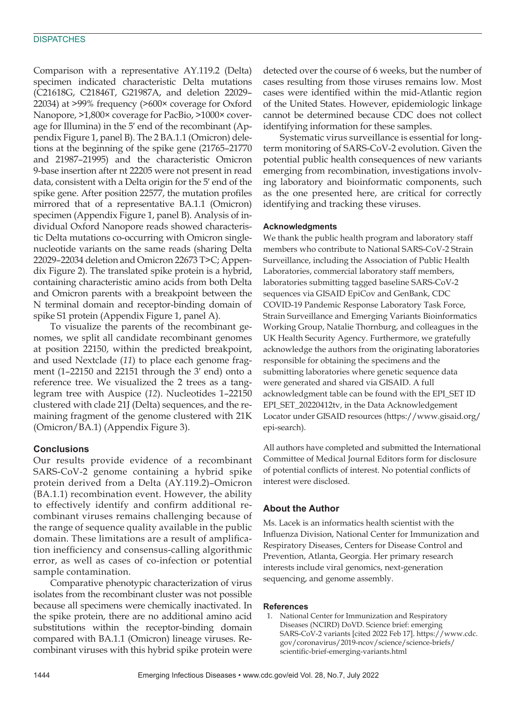#### **DISPATCHES**

Comparison with a representative AY.119.2 (Delta) specimen indicated characteristic Delta mutations (C21618G, C21846T, G21987A, and deletion 22029– 22034) at >99% frequency (>600× coverage for Oxford Nanopore, >1,800× coverage for PacBio, >1000× coverage for Illumina) in the 5′ end of the recombinant (Appendix Figure 1, panel B). The 2 BA.1.1 (Omicron) deletions at the beginning of the spike gene (21765–21770 and 21987–21995) and the characteristic Omicron 9-base insertion after nt 22205 were not present in read data, consistent with a Delta origin for the 5′ end of the spike gene. After position 22577, the mutation profiles mirrored that of a representative BA.1.1 (Omicron) specimen (Appendix Figure 1, panel B). Analysis of individual Oxford Nanopore reads showed characteristic Delta mutations co-occurring with Omicron singlenucleotide variants on the same reads (sharing Delta 22029–22034 deletion and Omicron 22673 T>C; Appendix Figure 2). The translated spike protein is a hybrid, containing characteristic amino acids from both Delta and Omicron parents with a breakpoint between the N terminal domain and receptor-binding domain of spike S1 protein (Appendix Figure 1, panel A).

To visualize the parents of the recombinant genomes, we split all candidate recombinant genomes at position 22150, within the predicted breakpoint, and used Nextclade (*11*) to place each genome fragment (1–22150 and 22151 through the 3′ end) onto a reference tree. We visualized the 2 trees as a tanglegram tree with Auspice (*12*). Nucleotides 1–22150 clustered with clade 21J (Delta) sequences, and the remaining fragment of the genome clustered with 21K (Omicron/BA.1) (Appendix Figure 3).

#### **Conclusions**

Our results provide evidence of a recombinant SARS-CoV-2 genome containing a hybrid spike protein derived from a Delta (AY.119.2)–Omicron (BA.1.1) recombination event. However, the ability to effectively identify and confirm additional recombinant viruses remains challenging because of the range of sequence quality available in the public domain. These limitations are a result of amplification inefficiency and consensus-calling algorithmic error, as well as cases of co-infection or potential sample contamination.

Comparative phenotypic characterization of virus isolates from the recombinant cluster was not possible because all specimens were chemically inactivated. In the spike protein, there are no additional amino acid substitutions within the receptor-binding domain compared with BA.1.1 (Omicron) lineage viruses. Recombinant viruses with this hybrid spike protein were

detected over the course of 6 weeks, but the number of cases resulting from those viruses remains low. Most cases were identified within the mid-Atlantic region of the United States. However, epidemiologic linkage cannot be determined because CDC does not collect identifying information for these samples.

Systematic virus surveillance is essential for longterm monitoring of SARS-CoV-2 evolution. Given the potential public health consequences of new variants emerging from recombination, investigations involving laboratory and bioinformatic components, such as the one presented here, are critical for correctly identifying and tracking these viruses.

#### **Acknowledgments**

We thank the public health program and laboratory staff members who contribute to National SARS-CoV-2 Strain Surveillance, including the Association of Public Health Laboratories, commercial laboratory staff members, laboratories submitting tagged baseline SARS-CoV-2 sequences via GISAID EpiCov and GenBank, CDC COVID-19 Pandemic Response Laboratory Task Force, Strain Surveillance and Emerging Variants Bioinformatics Working Group, Natalie Thornburg, and colleagues in the UK Health Security Agency. Furthermore, we gratefully acknowledge the authors from the originating laboratories responsible for obtaining the specimens and the submitting laboratories where genetic sequence data were generated and shared via GISAID. A full acknowledgment table can be found with the EPI\_SET ID EPI\_SET\_20220412tv, in the Data Acknowledgement Locator under GISAID resources (https://www.gisaid.org/ epi-search).

All authors have completed and submitted the International Committee of Medical Journal Editors form for disclosure of potential conflicts of interest. No potential conflicts of interest were disclosed.

#### **About the Author**

Ms. Lacek is an informatics health scientist with the Influenza Division, National Center for Immunization and Respiratory Diseases, Centers for Disease Control and Prevention, Atlanta, Georgia. Her primary research interests include viral genomics, next-generation sequencing, and genome assembly.

#### **References**

 1. National Center for Immunization and Respiratory Diseases (NCIRD) DoVD. Science brief: emerging SARS-CoV-2 variants [cited 2022 Feb 17]. https://www.cdc. gov/coronavirus/2019-ncov/science/science-briefs/ scientific-brief-emerging-variants.html